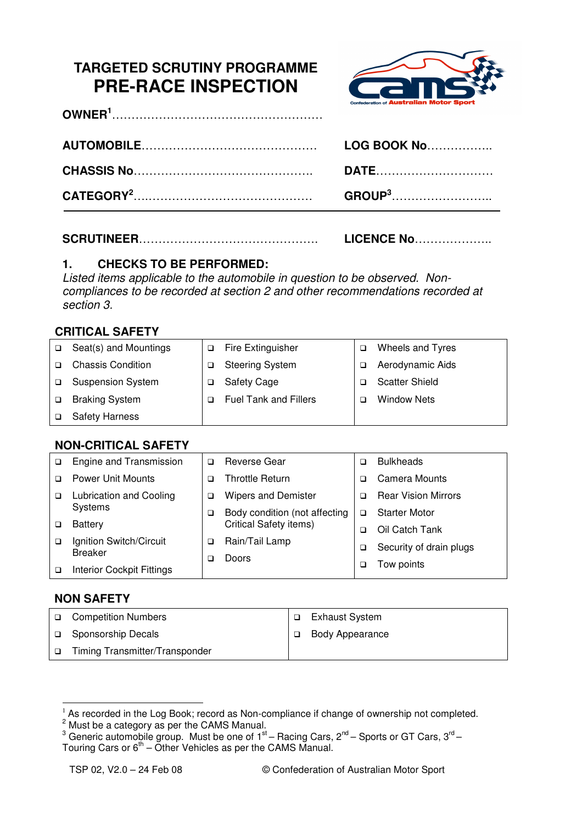# **TARGETED SCRUTINY PROGRAMME PRE-RACE INSPECTION**



| LOG BOOK No               |
|---------------------------|
| <b>DATE</b>               |
| <b>GROUP</b> <sup>3</sup> |

|  | <b>LICENCE No</b> |
|--|-------------------|
|--|-------------------|

## **1. CHECKS TO BE PERFORMED:**

Listed items applicable to the automobile in question to be observed. Noncompliances to be recorded at section 2 and other recommendations recorded at section 3.

### **CRITICAL SAFETY**

| ◻      | Seat(s) and Mountings    | Fire Extinguisher            | Wheels and Tyres      |
|--------|--------------------------|------------------------------|-----------------------|
|        | <b>Chassis Condition</b> | <b>Steering System</b>       | Aerodynamic Aids      |
| $\Box$ | <b>Suspension System</b> | <b>Safety Cage</b>           | <b>Scatter Shield</b> |
|        | <b>Braking System</b>    | <b>Fuel Tank and Fillers</b> | <b>Window Nets</b>    |
|        | <b>Safety Harness</b>    |                              |                       |

### **NON-CRITICAL SAFETY**

| ▫ | Engine and Transmission                   | ◻                                  | <b>Reverse Gear</b>           | ◻                       | <b>Bulkheads</b>           |
|---|-------------------------------------------|------------------------------------|-------------------------------|-------------------------|----------------------------|
|   | <b>Power Unit Mounts</b>                  |                                    | <b>Throttle Return</b>        | ב                       | Camera Mounts              |
| □ | <b>Lubrication and Cooling</b>            | ◻                                  | <b>Wipers and Demister</b>    | ◻                       | <b>Rear Vision Mirrors</b> |
|   | Systems                                   | Body condition (not affecting<br>□ |                               | ⊐                       | <b>Starter Motor</b>       |
|   | <b>Battery</b>                            |                                    | <b>Critical Safety items)</b> | □                       | Oil Catch Tank             |
|   | Ignition Switch/Circuit<br><b>Breaker</b> | Rain/Tail Lamp<br>◻<br>Doors<br>□  | ◻                             | Security of drain plugs |                            |
|   | <b>Interior Cockpit Fittings</b>          |                                    |                               | ◻                       | Tow points                 |

#### **NON SAFETY**

 $\overline{a}$ 

|        | □ Competition Numbers          | Exhaust System         |
|--------|--------------------------------|------------------------|
|        | □ Sponsorship Decals           | <b>Body Appearance</b> |
| $\Box$ | Timing Transmitter/Transponder |                        |

As recorded in the Log Book; record as Non-compliance if change of ownership not completed.

<sup>&</sup>lt;sup>2</sup> Must be a category as per the CAMS Manual.<br><sup>3</sup> Generic automobile group. Must be one of 1<sup>st</sup> – Racing Cars, 2<sup>nd</sup> – Sports or GT Cars, 3<sup>rd</sup> – Touring Cars or  $6<sup>th</sup>$  – Other Vehicles as per the CAMS Manual.